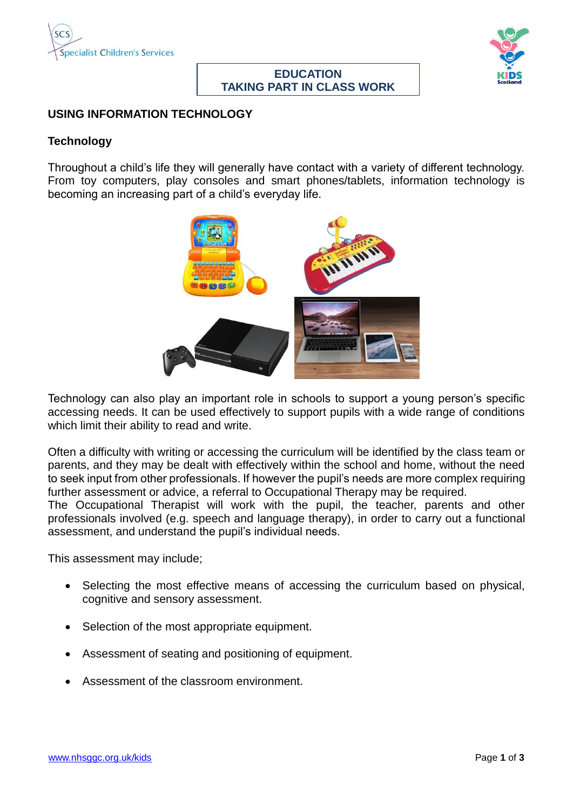

# **EDUCATION TAKING PART IN CLASS WORK**



#### **USING INFORMATION TECHNOLOGY**

#### **Technology**

Throughout a child's life they will generally have contact with a variety of different technology. From toy computers, play consoles and smart phones/tablets, information technology is becoming an increasing part of a child's everyday life.



Technology can also play an important role in schools to support a young person's specific accessing needs. It can be used effectively to support pupils with a wide range of conditions which limit their ability to read and write.

Often a difficulty with writing or accessing the curriculum will be identified by the class team or parents, and they may be dealt with effectively within the school and home, without the need to seek input from other professionals. If however the pupil's needs are more complex requiring further assessment or advice, a referral to Occupational Therapy may be required.

The Occupational Therapist will work with the pupil, the teacher, parents and other professionals involved (e.g. speech and language therapy), in order to carry out a functional assessment, and understand the pupil's individual needs.

This assessment may include;

- Selecting the most effective means of accessing the curriculum based on physical, cognitive and sensory assessment.
- Selection of the most appropriate equipment.
- Assessment of seating and positioning of equipment.
- Assessment of the classroom environment.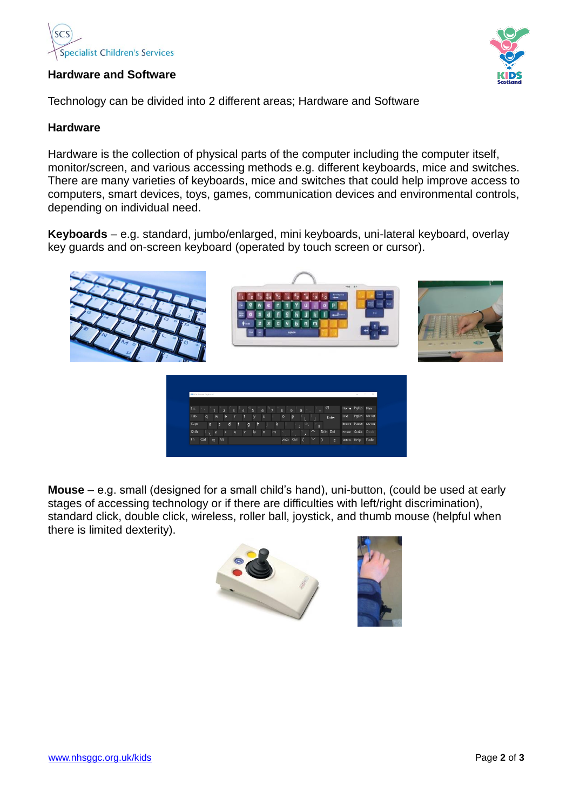

## **Hardware and Software**

Technology can be divided into 2 different areas; Hardware and Software

## **Hardware**

Hardware is the collection of physical parts of the computer including the computer itself, monitor/screen, and various accessing methods e.g. different keyboards, mice and switches. There are many varieties of keyboards, mice and switches that could help improve access to computers, smart devices, toys, games, communication devices and environmental controls, depending on individual need.

**Keyboards** – e.g. standard, jumbo/enlarged, mini keyboards, uni-lateral keyboard, overlay key guards and on-screen keyboard (operated by touch screen or cursor).



**Mouse** – e.g. small (designed for a small child's hand), uni-button, (could be used at early stages of accessing technology or if there are difficulties with left/right discrimination), standard click, double click, wireless, roller ball, joystick, and thumb mouse (helpful when there is limited dexterity).